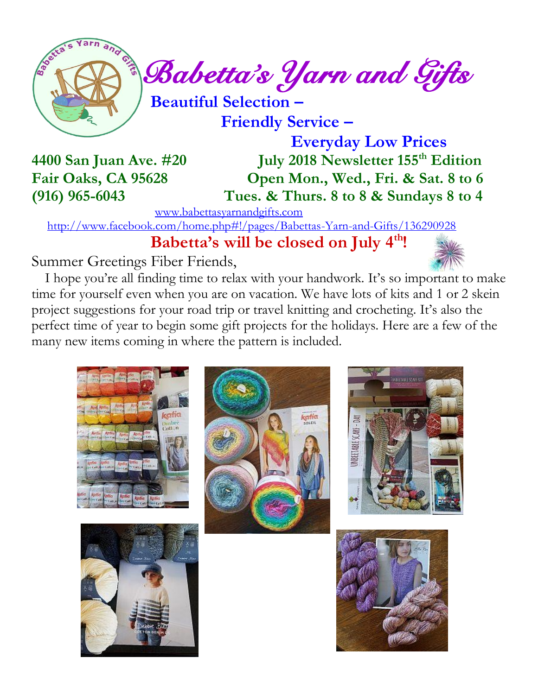

 **Friendly Service –**

**4400 San Juan Ave. #20** 

 **Everyday Low Prices July 2018 Newsletter 155<sup>th</sup> Edition Fair Oaks, CA 95628 Open Mon., Wed., Fri. & Sat. 8 to 6 (916) 965-6043 Tues. & Thurs. 8 to 8 & Sundays 8 to 4**

[www.babettasyarnandgifts.com](http://www.babettasyarnandgifts.com/)

<http://www.facebook.com/home.php#!/pages/Babettas-Yarn-and-Gifts/136290928>

 **Babetta's will be closed on July 4th!**

Summer Greetings Fiber Friends,

 I hope you're all finding time to relax with your handwork. It's so important to make time for yourself even when you are on vacation. We have lots of kits and 1 or 2 skein project suggestions for your road trip or travel knitting and crocheting. It's also the perfect time of year to begin some gift projects for the holidays. Here are a few of the many new items coming in where the pattern is included.









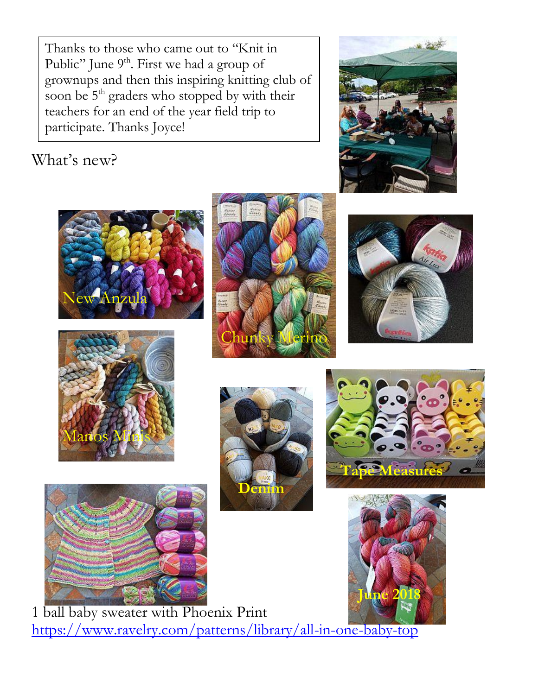Thanks to those who came out to "Knit in Public" June 9<sup>th</sup>. First we had a group of grownups and then this inspiring knitting club of soon be 5<sup>th</sup> graders who stopped by with their teachers for an end of the year field trip to participate. Thanks Joyce!

### What's new?



















1 ball baby sweater with Phoenix Print <https://www.ravelry.com/patterns/library/all-in-one-baby-top>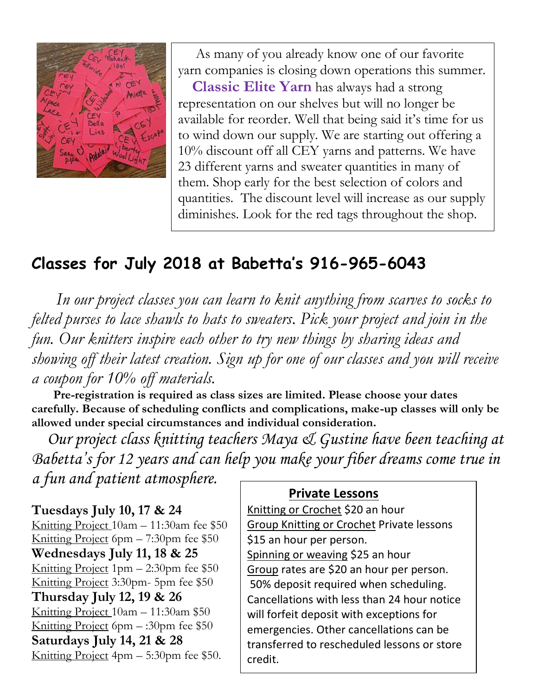

 As many of you already know one of our favorite yarn companies is closing down operations this summer. **Classic Elite Yarn** has always had a strong representation on our shelves but will no longer be available for reorder. Well that being said it's time for us to wind down our supply. We are starting out offering a 10% discount off all CEY yarns and patterns. We have 23 different yarns and sweater quantities in many of them. Shop early for the best selection of colors and quantities. The discount level will increase as our supply diminishes. Look for the red tags throughout the shop.

### **Classes for July 2018 at Babetta's 916-965-6043**

 *In our project classes you can learn to knit anything from scarves to socks to felted purses to lace shawls to hats to sweaters. Pick your project and join in the fun. Our knitters inspire each other to try new things by sharing ideas and showing off their latest creation. Sign up for one of our classes and you will receive a coupon for 10% off materials.*

 **Pre-registration is required as class sizes are limited. Please choose your dates carefully. Because of scheduling conflicts and complications, make-up classes will only be allowed under special circumstances and individual consideration.**

*Our project class knitting teachers Maya & Gustine have been teaching at Babetta's for 12 years and can help you make your fiber dreams come true in a fun and patient atmosphere.*

**Tuesdays July 10, 17 & 24** Knitting Project 10am – 11:30am fee \$50 Knitting Project 6pm – 7:30pm fee \$50 **Wednesdays July 11, 18 & 25** Knitting Project  $1pm - 2:30pm$  fee \$50 Knitting Project 3:30pm- 5pm fee \$50 **Thursday July 12, 19 & 26** Knitting Project 10am – 11:30am \$50 Knitting Project 6pm  $-$ :30pm fee \$50 **Saturdays July 14, 21 & 28** Knitting Project 4pm – 5:30pm fee \$50.

#### **Private Lessons**

Knitting or Crochet \$20 an hour Group Knitting or Crochet Private lessons \$15 an hour per person. Spinning or weaving \$25 an hour Group rates are \$20 an hour per person. 50% deposit required when scheduling. Cancellations with less than 24 hour notice will forfeit deposit with exceptions for emergencies. Other cancellations can be transferred to rescheduled lessons or store credit.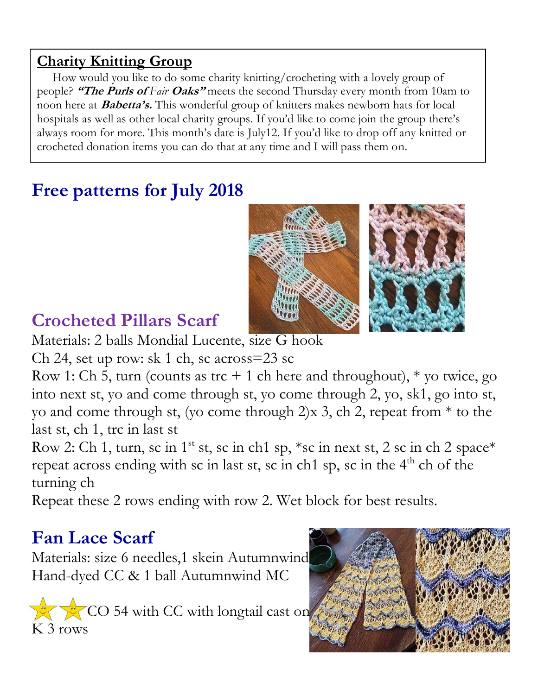### **Charity Knitting Group**

 How would you like to do some charity knitting/crocheting with a lovely group of people? **"The Purls of** *Fair* **Oaks"** meets the second Thursday every month from 10am to noon here at **Babetta's.** This wonderful group of knitters makes newborn hats for local hospitals as well as other local charity groups. If you'd like to come join the group there's always room for more. This month's date is July12. If you'd like to drop off any knitted or crocheted donation items you can do that at any time and I will pass them on.

# **Free patterns for July 2018**



## **Crocheted Pillars Scarf**

Materials: 2 balls Mondial Lucente, size G hook

Ch 24, set up row: sk 1 ch, sc across=23 sc

Row 1: Ch 5, turn (counts as trc  $+$  1 ch here and throughout),  $*$  vo twice, go into next st, yo and come through st, yo come through 2, yo, sk1, go into st, yo and come through st, (yo come through 2)x 3, ch 2, repeat from \* to the last st, ch 1, trc in last st

Row 2: Ch 1, turn, sc in 1<sup>st</sup> st, sc in ch1 sp, \*sc in next st, 2 sc in ch 2 space\* repeat across ending with sc in last st, sc in ch1 sp, sc in the  $4<sup>th</sup>$  ch of the turning ch

Repeat these 2 rows ending with row 2. Wet block for best results.

# **Fan Lace Scarf**

Materials: size 6 needles,1 skein Autumnwind Hand-dyed CC & 1 ball Autumnwind MC

 $CC$  54 with CC with longtail cast on K 3 rows